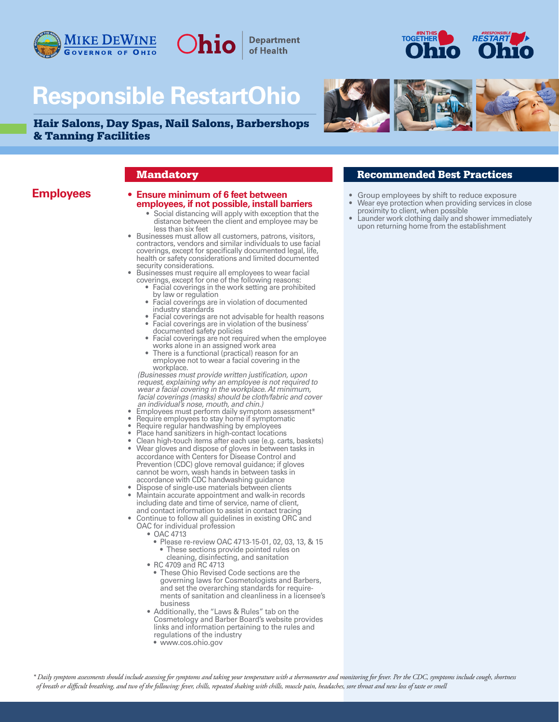

# **Responsible RestartOhio**

Ohio

**Department** of Health

Hair Salons, Day Spas, Nail Salons, Barbershops & Tanning Facilities





## **Employees • Ensure minimum of 6 feet between employees, if not possible, install barriers**

- Social distancing will apply with exception that the
- I less than six feet<br>
 Businesses must allow all customers, patrons, visitors, conductors, vendors and similar individuals to use facial<br>
coverings, except for specifically documented legal, life,<br>
health or safety consid
- -
	-
	-
	-
	-
	-

*(Businesses must provide written justification, upon*  wear a facial covering in the workplace. At minimum,<br>facial coverings (masks) should be cloth/fabric and cover<br>an individual's nose, mouth, and chin.)<br>Employees must perform daily symptom assessment\*<br>Require employees to s

- 
- 
- 
- 
- Place hand sanitizers in high-contact locations<br>• Clean high-touch items after each use (e.g. carts, baskets)
- Wear gloves and dispose of gloves in between tasks in accordance with Centers for Disease Control and Prevention (CDC) glove removal guidance; if gloves cannot be worn, wash hands in between tasks in accordance with CDC handwashing guidance
- Dispose of single-use materials between clients • Maintain accurate appointment and walk-in records including date and time of service, name of client,
- and contact information to assist in contact tracing • Continue to follow all guidelines in existing ORC and OAC for individual profession
	- OAC 4713
		- Please re-review OAC 4713-15-01, 02, 03, 13, & 15
		- These sections provide pointed rules on cleaning, disinfecting, and sanitation
	- RC 4709 and RC 4713
	- These Ohio Revised Code sections are the governing laws for Cosmetologists and Barbers, and set the overarching standards for require ments of sanitation and cleanliness in a licensee's business
	- Additionally, the "Laws & Rules" tab on the Cosmetology and Barber Board's website provides links and information pertaining to the rules and regulations of the industry
		- www.cos.ohio.gov

## **Mandatory Recommended Best Practices**

- Group employees by shift to reduce exposure
- Wear eye protection when providing services in close proximity to client, when possible
- Launder work clothing daily and shower immediately upon returning home from the establishment